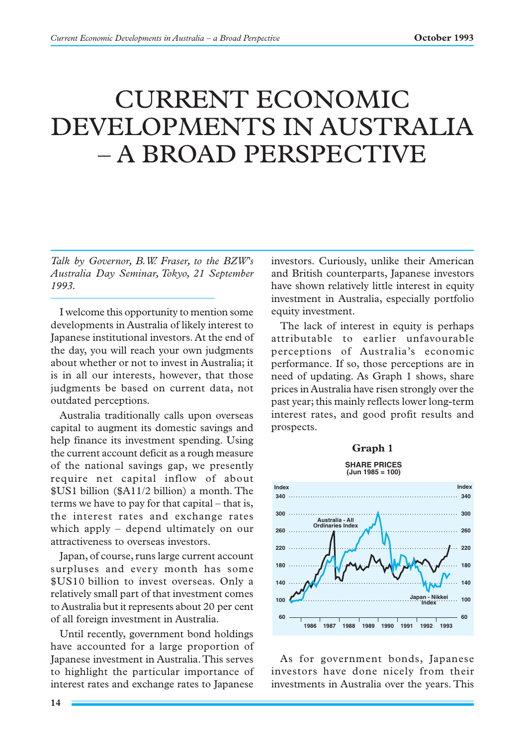# CURRENT ECONOMIC DEVELOPMENTS IN AUSTRALIA – A BROAD PERSPECTIVE

*Talk by Governor, B.W. Fraser, to the BZW's Australia Day Seminar, Tokyo, 21 September 1993.*

I welcome this opportunity to mention some developments in Australia of likely interest to Japanese institutional investors. At the end of the day, you will reach your own judgments about whether or not to invest in Australia; it is in all our interests, however, that those judgments be based on current data, not outdated perceptions.

Australia traditionally calls upon overseas capital to augment its domestic savings and help finance its investment spending. Using the current account deficit as a rough measure of the national savings gap, we presently require net capital inflow of about \$US1 billion (\$A11/2 billion) a month. The terms we have to pay for that capital – that is, the interest rates and exchange rates which apply – depend ultimately on our attractiveness to overseas investors.

Japan, of course, runs large current account surpluses and every month has some \$US10 billion to invest overseas. Only a relatively small part of that investment comes to Australia but it represents about 20 per cent of all foreign investment in Australia.

Until recently, government bond holdings have accounted for a large proportion of Japanese investment in Australia. This serves to highlight the particular importance of interest rates and exchange rates to Japanese

investors. Curiously, unlike their American and British counterparts, Japanese investors have shown relatively little interest in equity investment in Australia, especially portfolio equity investment.

The lack of interest in equity is perhaps attributable to earlier unfavourable perceptions of Australia's economic performance. If so, those perceptions are in need of updating. As Graph 1 shows, share prices in Australia have risen strongly over the past year; this mainly reflects lower long-term interest rates, and good profit results and prospects.

# **Graph 1**

**SHARE PRICES (Jun 1985 = 100)**



As for government bonds, Japanese investors have done nicely from their investments in Australia over the years. This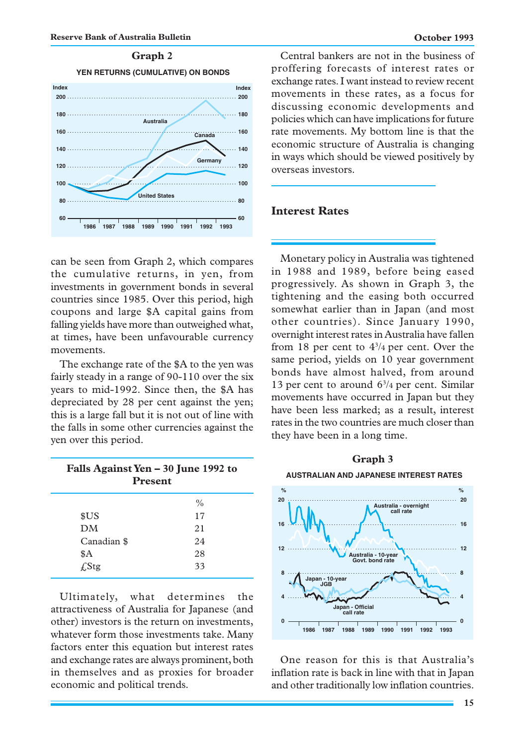



can be seen from Graph 2, which compares the cumulative returns, in yen, from investments in government bonds in several countries since 1985. Over this period, high coupons and large \$A capital gains from falling yields have more than outweighed what, at times, have been unfavourable currency movements.

The exchange rate of the \$A to the yen was fairly steady in a range of 90-110 over the six years to mid-1992. Since then, the \$A has depreciated by 28 per cent against the yen; this is a large fall but it is not out of line with the falls in some other currencies against the yen over this period.

| Falls Against Yen - 30 June 1992 to<br><b>Present</b> |               |
|-------------------------------------------------------|---------------|
|                                                       | $\frac{0}{0}$ |
| \$US                                                  | 17            |
| DM                                                    | 21            |
| Canadian \$                                           | 24            |
| \$Α                                                   | 28            |
| $f$ Stg                                               | 33            |

Ultimately, what determines the attractiveness of Australia for Japanese (and other) investors is the return on investments, whatever form those investments take. Many factors enter this equation but interest rates and exchange rates are always prominent, both in themselves and as proxies for broader economic and political trends.

Central bankers are not in the business of proffering forecasts of interest rates or exchange rates. I want instead to review recent movements in these rates, as a focus for discussing economic developments and policies which can have implications for future rate movements. My bottom line is that the economic structure of Australia is changing in ways which should be viewed positively by overseas investors.

# **Interest Rates**

Monetary policy in Australia was tightened in 1988 and 1989, before being eased progressively. As shown in Graph 3, the tightening and the easing both occurred somewhat earlier than in Japan (and most other countries). Since January 1990, overnight interest rates in Australia have fallen from 18 per cent to  $4^{3}/4$  per cent. Over the same period, yields on 10 year government bonds have almost halved, from around 13 per cent to around  $6^{3}/4$  per cent. Similar movements have occurred in Japan but they have been less marked; as a result, interest rates in the two countries are much closer than they have been in a long time.



One reason for this is that Australia's inflation rate is back in line with that in Japan and other traditionally low inflation countries.

# **Graph 3**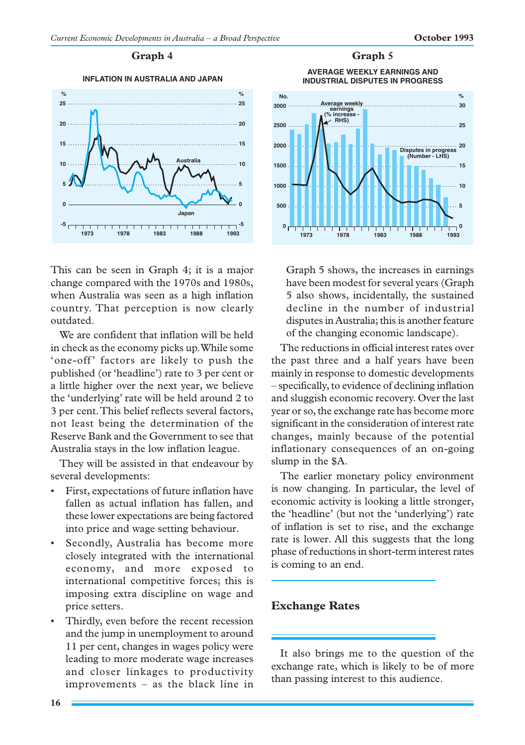## Graph 4 Graph 5





This can be seen in Graph 4; it is a major change compared with the 1970s and 1980s, when Australia was seen as a high inflation country. That perception is now clearly outdated.

We are confident that inflation will be held in check as the economy picks up. While some 'one-off' factors are likely to push the published (or 'headline') rate to 3 per cent or a little higher over the next year, we believe the 'underlying' rate will be held around 2 to 3 per cent. This belief reflects several factors, not least being the determination of the Reserve Bank and the Government to see that Australia stays in the low inflation league.

They will be assisted in that endeavour by several developments:

- First, expectations of future inflation have fallen as actual inflation has fallen, and these lower expectations are being factored into price and wage setting behaviour.
- Secondly, Australia has become more closely integrated with the international economy, and more exposed to international competitive forces; this is imposing extra discipline on wage and price setters.
- Thirdly, even before the recent recession and the jump in unemployment to around 11 per cent, changes in wages policy were leading to more moderate wage increases and closer linkages to productivity improvements – as the black line in

**AVERAGE WEEKLY EARNINGS AND**



Graph 5 shows, the increases in earnings have been modest for several years (Graph 5 also shows, incidentally, the sustained decline in the number of industrial disputes in Australia; this is another feature of the changing economic landscape).

The reductions in official interest rates over the past three and a half years have been mainly in response to domestic developments – specifically, to evidence of declining inflation and sluggish economic recovery. Over the last year or so, the exchange rate has become more significant in the consideration of interest rate changes, mainly because of the potential inflationary consequences of an on-going slump in the \$A.

The earlier monetary policy environment is now changing. In particular, the level of economic activity is looking a little stronger, the 'headline' (but not the 'underlying') rate of inflation is set to rise, and the exchange rate is lower. All this suggests that the long phase of reductions in short-term interest rates is coming to an end.

# **Exchange Rates**

It also brings me to the question of the exchange rate, which is likely to be of more than passing interest to this audience.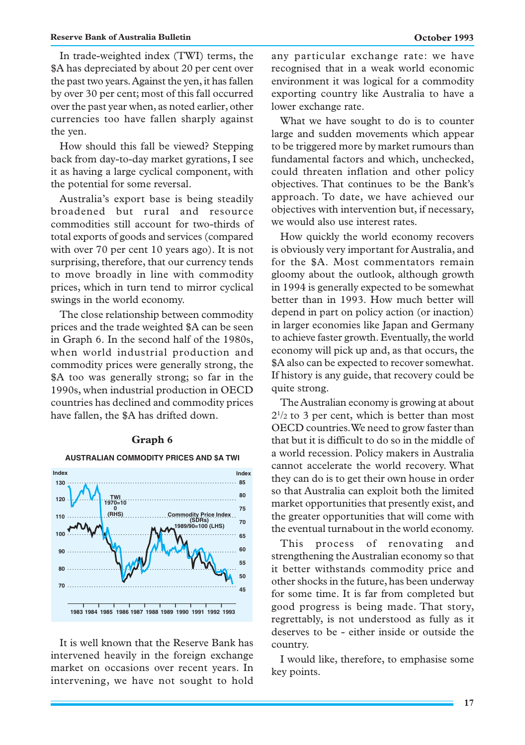#### **Reserve Bank of Australia Bulletin October 1993**

In trade-weighted index (TWI) terms, the \$A has depreciated by about 20 per cent over the past two years. Against the yen, it has fallen by over 30 per cent; most of this fall occurred over the past year when, as noted earlier, other currencies too have fallen sharply against the yen.

How should this fall be viewed? Stepping back from day-to-day market gyrations, I see it as having a large cyclical component, with the potential for some reversal.

Australia's export base is being steadily broadened but rural and resource commodities still account for two-thirds of total exports of goods and services (compared with over 70 per cent 10 years ago). It is not surprising, therefore, that our currency tends to move broadly in line with commodity prices, which in turn tend to mirror cyclical swings in the world economy.

The close relationship between commodity prices and the trade weighted \$A can be seen in Graph 6. In the second half of the 1980s, when world industrial production and commodity prices were generally strong, the \$A too was generally strong; so far in the 1990s, when industrial production in OECD countries has declined and commodity prices have fallen, the \$A has drifted down.

#### **Graph 6**



It is well known that the Reserve Bank has intervened heavily in the foreign exchange market on occasions over recent years. In intervening, we have not sought to hold any particular exchange rate: we have recognised that in a weak world economic environment it was logical for a commodity exporting country like Australia to have a lower exchange rate.

What we have sought to do is to counter large and sudden movements which appear to be triggered more by market rumours than fundamental factors and which, unchecked, could threaten inflation and other policy objectives. That continues to be the Bank's approach. To date, we have achieved our objectives with intervention but, if necessary, we would also use interest rates.

How quickly the world economy recovers is obviously very important for Australia, and for the \$A. Most commentators remain gloomy about the outlook, although growth in 1994 is generally expected to be somewhat better than in 1993. How much better will depend in part on policy action (or inaction) in larger economies like Japan and Germany to achieve faster growth. Eventually, the world economy will pick up and, as that occurs, the \$A also can be expected to recover somewhat. If history is any guide, that recovery could be quite strong.

The Australian economy is growing at about  $2^{1/2}$  to 3 per cent, which is better than most OECD countries. We need to grow faster than that but it is difficult to do so in the middle of a world recession. Policy makers in Australia cannot accelerate the world recovery. What they can do is to get their own house in order so that Australia can exploit both the limited market opportunities that presently exist, and the greater opportunities that will come with the eventual turnabout in the world economy.

This process of renovating and strengthening the Australian economy so that it better withstands commodity price and other shocks in the future, has been underway for some time. It is far from completed but good progress is being made. That story, regrettably, is not understood as fully as it deserves to be - either inside or outside the country.

I would like, therefore, to emphasise some key points.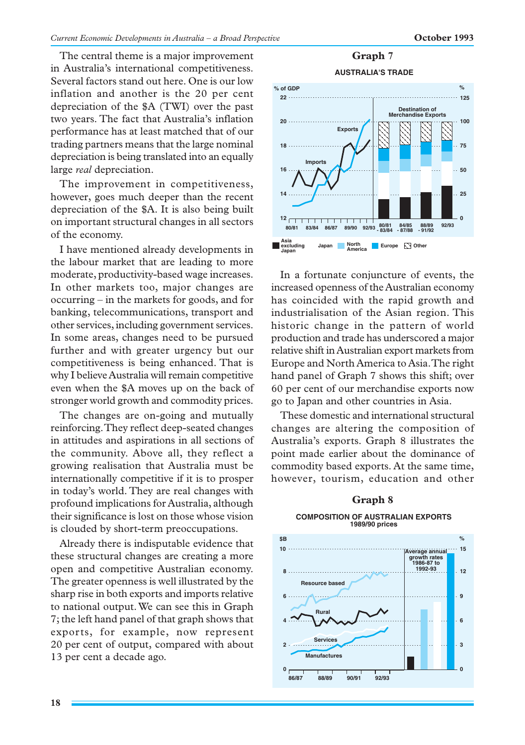The central theme is a major improvement in Australia's international competitiveness. Several factors stand out here. One is our low inflation and another is the 20 per cent depreciation of the \$A (TWI) over the past two years. The fact that Australia's inflation performance has at least matched that of our trading partners means that the large nominal depreciation is being translated into an equally large *real* depreciation.

The improvement in competitiveness, however, goes much deeper than the recent depreciation of the \$A. It is also being built on important structural changes in all sectors of the economy.

I have mentioned already developments in the labour market that are leading to more moderate, productivity-based wage increases. In other markets too, major changes are occurring – in the markets for goods, and for banking, telecommunications, transport and other services, including government services. In some areas, changes need to be pursued further and with greater urgency but our competitiveness is being enhanced. That is why I believe Australia will remain competitive even when the \$A moves up on the back of stronger world growth and commodity prices.

The changes are on-going and mutually reinforcing. They reflect deep-seated changes in attitudes and aspirations in all sections of the community. Above all, they reflect a growing realisation that Australia must be internationally competitive if it is to prosper in today's world. They are real changes with profound implications for Australia, although their significance is lost on those whose vision is clouded by short-term preoccupations.

Already there is indisputable evidence that these structural changes are creating a more open and competitive Australian economy. The greater openness is well illustrated by the sharp rise in both exports and imports relative to national output. We can see this in Graph 7; the left hand panel of that graph shows that exports, for example, now represent 20 per cent of output, compared with about 13 per cent a decade ago.

# **Graph 7**



In a fortunate conjuncture of events, the increased openness of the Australian economy has coincided with the rapid growth and industrialisation of the Asian region. This historic change in the pattern of world production and trade has underscored a major relative shift in Australian export markets from Europe and North America to Asia. The right hand panel of Graph 7 shows this shift; over 60 per cent of our merchandise exports now go to Japan and other countries in Asia.

These domestic and international structural changes are altering the composition of Australia's exports. Graph 8 illustrates the point made earlier about the dominance of commodity based exports. At the same time, however, tourism, education and other

# **Graph 8 COMPOSITION OF AUSTRALIAN EXPORTS 1989/90 prices**

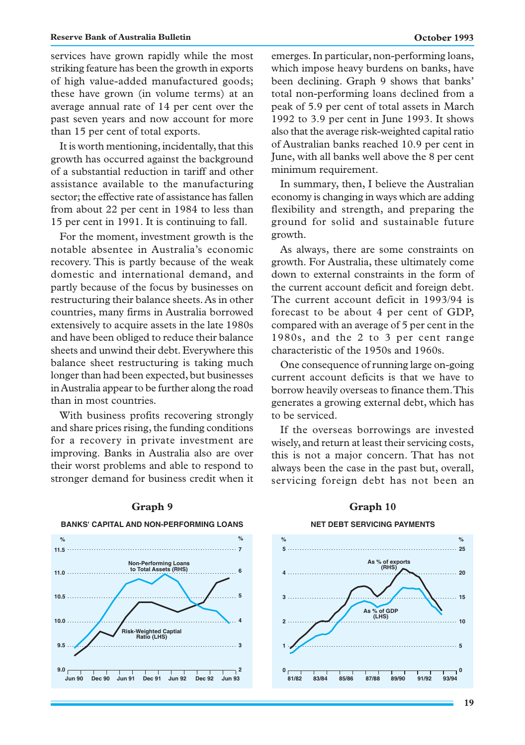#### **Reserve Bank of Australia Bulletin October 1993**

services have grown rapidly while the most striking feature has been the growth in exports of high value-added manufactured goods; these have grown (in volume terms) at an average annual rate of 14 per cent over the past seven years and now account for more than 15 per cent of total exports.

It is worth mentioning, incidentally, that this growth has occurred against the background of a substantial reduction in tariff and other assistance available to the manufacturing sector; the effective rate of assistance has fallen from about 22 per cent in 1984 to less than 15 per cent in 1991. It is continuing to fall.

For the moment, investment growth is the notable absentee in Australia's economic recovery. This is partly because of the weak domestic and international demand, and partly because of the focus by businesses on restructuring their balance sheets. As in other countries, many firms in Australia borrowed extensively to acquire assets in the late 1980s and have been obliged to reduce their balance sheets and unwind their debt. Everywhere this balance sheet restructuring is taking much longer than had been expected, but businesses in Australia appear to be further along the road than in most countries.

With business profits recovering strongly and share prices rising, the funding conditions for a recovery in private investment are improving. Banks in Australia also are over their worst problems and able to respond to stronger demand for business credit when it emerges. In particular, non-performing loans, which impose heavy burdens on banks, have been declining. Graph 9 shows that banks' total non-performing loans declined from a peak of 5.9 per cent of total assets in March 1992 to 3.9 per cent in June 1993. It shows also that the average risk-weighted capital ratio of Australian banks reached 10.9 per cent in June, with all banks well above the 8 per cent minimum requirement.

In summary, then, I believe the Australian economy is changing in ways which are adding flexibility and strength, and preparing the ground for solid and sustainable future growth.

As always, there are some constraints on growth. For Australia, these ultimately come down to external constraints in the form of the current account deficit and foreign debt. The current account deficit in 1993/94 is forecast to be about 4 per cent of GDP, compared with an average of 5 per cent in the 1980s, and the 2 to 3 per cent range characteristic of the 1950s and 1960s.

One consequence of running large on-going current account deficits is that we have to borrow heavily overseas to finance them. This generates a growing external debt, which has to be serviced.

If the overseas borrowings are invested wisely, and return at least their servicing costs, this is not a major concern. That has not always been the case in the past but, overall, servicing foreign debt has not been an



# Graph 9 Graph 10 **BANKS' CAPITAL AND NON-PERFORMING LOANS**

#### **NET DEBT SERVICING PAYMENTS**